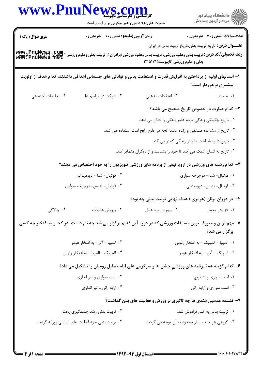|                                     | WWW.PnuNews.com<br>حضرت علی(ع): دانش راهبر نیکویی برای ایمان است |                                                                                                                                                                                                                    | الا دانشگاه پيام نور<br>الا مرکز آزمون وسنجش                     |
|-------------------------------------|------------------------------------------------------------------|--------------------------------------------------------------------------------------------------------------------------------------------------------------------------------------------------------------------|------------------------------------------------------------------|
| <b>سری سوال :</b> یک ۱              | <b>زمان آزمون (دقیقه) : تستی : 60 ٪ تشریحی : 0</b>               |                                                                                                                                                                                                                    | <b>تعداد سوالات : تستی : 30 ٪ تشریحی : 0</b>                     |
|                                     |                                                                  | <b>www . PnuNews . Com</b><br>ر <b>شته تحصیلی/کد درس:</b> تربیت بدنی وعلوم ورزشی، تربیت بدنی وعلوم ورزشی (برادران )، تربیت بدنی وعلوم ورزشی (حواهران<br>www . PnuNews . Het<br>بدنی و علوم ورزشی (ناپیوسته)۱۲۱۵۱۷۱ | <b>عنــــوان درس:</b> تاریخ تربیت بدنی،تاریخ تربیت بدنی در ایران |
|                                     |                                                                  | ا– انسانهای اولیه از پرداختن به افزایش قدرت و استقامت بدنی و توانائی های جسمانی اهدافی داشتند، کدام هدف از اولویت                                                                                                  | بیشتری برخوردار است؟                                             |
| ۰۴ تعلیمات اجتماعی                  | ۰۳ شرکت در مراسم ها                                              | ۰۲ اعتقادات مذهبی                                                                                                                                                                                                  | ٠١. امنيت                                                        |
|                                     |                                                                  |                                                                                                                                                                                                                    | <b>۲</b> – کدام عبارت در خصوص تاریخ صحیح می باشد؟                |
|                                     |                                                                  | ۰۱ تاریخ چگونگی زندگی مردم عصر سنگی را نشان می دهد.                                                                                                                                                                |                                                                  |
|                                     |                                                                  | ۰۲ تاریخ از مشاهده مستقیم و زنده مانند آنچه در علوم رایج است استفاده می کند.                                                                                                                                       |                                                                  |
|                                     |                                                                  | ۰۳ تاریخ دایره شناخت ما را از زندگی کمتر می کند.                                                                                                                                                                   |                                                                  |
|                                     |                                                                  | ۰۴ تاریخ به انسان کمک می کند تا خود را بشناسد و از دیگران متمایز کند.                                                                                                                                              |                                                                  |
|                                     |                                                                  | ۳- کدام رشته های ورزشی در اروپا نیمی از برنامه های ورزشی تلویزیون را به خود اختصاص می دهند؟                                                                                                                        |                                                                  |
| ۰۲ فوتبال- شنا - دووميدانى          |                                                                  | ۰۱ فوتبال- شنا - دوچرخه سواری                                                                                                                                                                                      |                                                                  |
| ۰۴ فوتبال- تنيس- دوچرخه سوارى       |                                                                  | ۰۳ فوتبال- تنيس- دووميداني                                                                                                                                                                                         |                                                                  |
|                                     |                                                                  | ۴- در دوران یونان (هومری ) هدف نهایی تربیت بدنی چه بود؟                                                                                                                                                            |                                                                  |
| ۰۴ چالاکی                           | ۰۳ پرورش عضلات                                                   | ۰۲ پرورش مرد عمل                                                                                                                                                                                                   | ٠١. افزايش تحمل                                                  |
|                                     |                                                                  | ۵– مهم ترین و معروف ترین مسابقات ورزشی که در دوره آتن قدیم برگزار می شد چه نام داشت، در کجا و به افتخار چه کسی                                                                                                     |                                                                  |
|                                     |                                                                  |                                                                                                                                                                                                                    | برگزار می شد؟                                                    |
| ۰۲ المپيا – آتن– به افتخار هومر     |                                                                  | ٠١. المپيا - المپيک - به افتخار زئوس                                                                                                                                                                               |                                                                  |
| ۰۴ المپیک - المپیا - به افتخار زئوس |                                                                  | ۰۳ المپیک - آتن - به افتخار هومر                                                                                                                                                                                   |                                                                  |
|                                     |                                                                  | ۶- کدام گزینه همهٔ برنامه های ورزشیِ جشن ها و سرگرمی های ایام تعطیل رومیان را تشکیل می داد؟                                                                                                                        |                                                                  |
| ۰۲ اسب سواری و تیر اندازی           |                                                                  | ۰۱ اسب سواری و شطرنج                                                                                                                                                                                               |                                                                  |
| ۰۴ ارابه رانی و تیر اندازی          |                                                                  | ۰۳ اسب سواری و ارابه رانی                                                                                                                                                                                          |                                                                  |
|                                     |                                                                  | ۷- فلسفه مذهبی هندی ها چه تاثیری بر ورزش و فعالیت های بدن گذاشت؟                                                                                                                                                   |                                                                  |
|                                     | ۰۲ تربیت بدنی رشد چشمگیری یافت.                                  |                                                                                                                                                                                                                    | ۰۱ تربیت بدنی به کلی فراموش شد.                                  |
|                                     | ۰۴ تربیت بدنی جزء فعالیت های اساسی روزانه گردید.                 | ۰۳ گروهی هر چند بسیار محدود به آن توجه می کردند.                                                                                                                                                                   |                                                                  |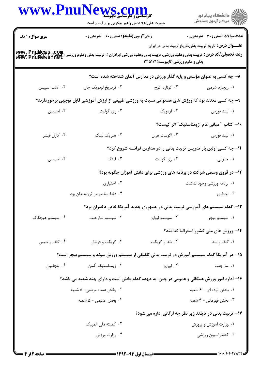| www.Pnu                | کارشناسی و کارشناسی باپیوسته<br>حضرت علی(ع): دانش راهبر نیکویی برای ایمان است                                                                                                     |                                     | ڪ دانشڪاه پيا <sub>م</sub> نور<br>ر <i>ا</i> ⊂ مرڪز آزمون وسنڊش            |
|------------------------|-----------------------------------------------------------------------------------------------------------------------------------------------------------------------------------|-------------------------------------|----------------------------------------------------------------------------|
| <b>سری سوال : ۱ یک</b> | <b>زمان آزمون (دقیقه) : تستی : 60 ٪ تشریحی : 0</b>                                                                                                                                |                                     | تعداد سوالات : تستي : 30 ٪ تشريحي : 0                                      |
|                        | <b>رشته تحصیلی/کد درس:</b> تربیت بدنی وعلوم ورزشی، تربیت بدنی وعلوم ورزشی (برادران )، تربیت بدنی وعلوم ورزشی (جواهران Phia: 7 مربیت<br>Www . PnuNews . net<br>Www . PnuNews . net | بدنی و علوم ورزشی (ناپیوسته)۱۲۱۵۱۷۱ | <b>عنـــوان درس:</b> تاریخ تربیت بدنی،تاریخ تربیت بدنی در ایران            |
|                        |                                                                                                                                                                                   |                                     | ۸– چه کسی به عنوان مؤسس و پایه گذار ورزش در مدارس آلمان شناخته شده است؟    |
| ۰۴ آدلف اسپیس          | ۰۳ فردريخ لودويک جان                                                                                                                                                              | ۰۲ کونارد کوخ                       | ۰۱ ریچارد شرمن                                                             |
|                        | ۹- چه کسی معتقد بود که ورزش های مصنوعی نسبت به ورزشی طبیعی از ارزش آموزشی قابل توجهی برخوردارند؟                                                                                  |                                     |                                                                            |
| ۰۴ اسپیس               | ۰۳ ري گوليت                                                                                                                                                                       | ۰۲ لودویک                           | ۰۱ ليند فورس                                                               |
|                        |                                                                                                                                                                                   |                                     | ۱۰– کتاب "مبانی عام ژیمناستیک" اثر کیست؟                                   |
| ۰۴ کارل فیشر           | ۰۳ هنریک لینگ                                                                                                                                                                     | ۰۲ اگوست هران                       | ۰۱ ليند فورس                                                               |
|                        |                                                                                                                                                                                   |                                     | 11- چه کسی اولین بار تدریس تربیت بدنی را در مدارس فرانسه شروع کرد؟         |
| ۰۴ اسپیس               | ۰۳ لینگ                                                                                                                                                                           | ۰۲ ری گولیت                         | ۰۱ جیوانی                                                                  |
|                        |                                                                                                                                                                                   |                                     | ۱۲- در قرون وسطی شرکت در برنامه های ورزشی برای دانش آموزان چگونه بود؟      |
|                        | ۰۲ اختیاری                                                                                                                                                                        |                                     | ۰۱ برنامه ورزشی وجود نداشت                                                 |
|                        | ۰۴ فقط مخصوص ثروتمندان بود                                                                                                                                                        |                                     | ۰۳ اجباری                                                                  |
|                        |                                                                                                                                                                                   |                                     | ۱۳- کدام سیستم های آموزشی تربیت بدنی در جمهوری جدید آمریکا خاص دختران بود؟ |
| ۰۴ سیستم هیچکاک        | ۰۳ سیستم سارجنت                                                                                                                                                                   | ۰۲ سیستم لیوایز                     | ۰۱ سیستم بیچر                                                              |
|                        |                                                                                                                                                                                   |                                     | <b>۱۴</b> - ورزش های ملی کشور استرالیا کدامند؟                             |
| ۰۴ گلف و تنيس          | ۰۳ کريکت و فوتبال                                                                                                                                                                 | ۰۲ شنا و کریکت                      | ۰۱ گلف و شنا                                                               |
|                        | ۱۵– در آمریکا کدام سیستم آموزش در تربیت بدنی تلفیقی از سیستم ورزش سوئد و سیستم بیچر است؟                                                                                          |                                     |                                                                            |
| ۰۴ بنجامین             | ۰۳ ژیمناستیک آلمان                                                                                                                                                                | ۰۲ ليوايز                           | ۰۱ سارجنت                                                                  |
|                        | ۱۶- اداره امور ورزش همگانی و عمومی در چین، به عهده کدام بخش است و دارای چند شعبه می باشد؟                                                                                         |                                     |                                                                            |
|                        | ۰۲ بخش عمده مردمی- ۵ شعبه                                                                                                                                                         |                                     | ۰۱ بخش توده ای - ۶ شعبه                                                    |
|                        | ۰۴ بخش عمومی - ۵ شعبه                                                                                                                                                             |                                     | ۰۳ بخش قهرمانی - ۴ شعبه                                                    |
|                        |                                                                                                                                                                                   |                                     | <b>۱۷- تربیت بدنی در تایلند زیر نظر چه ارگانی اداره می شود؟</b>            |
|                        | ۰۲ کمیته ملی المپیک                                                                                                                                                               |                                     | ۰۱ وزارت آموزش و پرورش                                                     |
|                        | ۰۴ وزارت ورزش                                                                                                                                                                     |                                     | ۰۳ کنفدراسیون ورزشی                                                        |
|                        |                                                                                                                                                                                   |                                     |                                                                            |

 $= 1.1 - (1.1 - 11111)$ 

صفحه 2 از 4 =

**= نیمسال اول ۹۳-۱۳۹۲**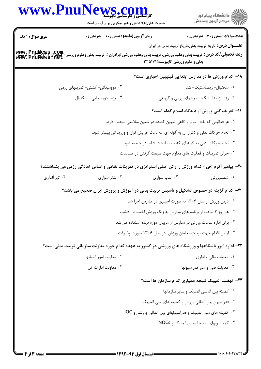## www.PnuNews.cor .<br>گ دانشگاه پیام نور ے<br>اللہ مرکز آزمون وسنجش حضرت علي(ع): دانش راهبر نيكويي براي ايمان است **تعداد سوالات : تستي : 30 - تشريحي : 0 سری سوال : ۱ یک زمان آزمون (دقیقه) : تستی : 60 ٪ تشریحی : 0 عنـــوان درس:** تاریخ تربیت بدنی،تاریخ تربیت بدنی در ایران www. PnuNews . Com<br>- **رشته تحصیلی/کد درس:** تربیت بدنی وعلوم ورزشی، تربیت بدنی وعلوم ورزشی (برادران )، تربیت بدنی وعلوم ورزشی (جواهران )<br>**www. PnuNews . net** بدنی و علوم ورزشی (ناپیوسته)۱۲۱۵۱۷۱ ۱۸– کدام ورزش ها در مدارس ابتدایی فیلیپین اجباری است؟  $\cdot$ سافتيال- ژىمناستىك- شنا ۰۲ دوومیدانی- کشتی- تمرینهای رزمی ۰۳ , ژه- ژیمناستیک- تمرینهای رزمی و گروهی ۰۴ رژه- دوومیدانی- بسکتبال **۱۹- تعریف کلی ورزش از دیدگاه اسلام کدام است؟** ۰۱ هر فعالیتی که نقش موثر و گاهی تعیین کننده در تامین سلامتی شخص دارد. ۲. انجام حرکات بدنی و تکرار آن به گونه ای که باعث افزایش توان و ورزیدگی بیشتر شود. ۰۳ انجام حرکات بدنی به گونه ای که سبب ایجاد نشاط در جامعه شود. ۰۴ اجرای تمرینات و فعالیت های مداوم جهت سبقت گرفتن در مسابقات **۲۰**- پیامبر اکرم (ص ) کدام ورزش را رکن اصلی استراتژی در تمرینات نظامی و اساس آمادگی رزمی می پنداشتند؟ ۰۴ تیر اندازی ۰۳ شتر سواری ۰۲ است سواری ۰۱ شمشیرزنی **۲۱**- کدام گزینه در خصوص تشکیل و تاسیس تربیت بدنی در آموزش و پرورش ایران صحیح می باشد؟ ۰۱ درس ورزش از سال ۱۳۰۶ به صورت اجباری در مدارس اجرا شد ۰۲ هر روز ۲ ساعت از برنامه های مدارس به زنگ ورزش اختصاص داشت ۰۳ برای اداره ساعات ورزش در مدارس از مربیان دوره دیده استفاده می شد ۰۴ اولین اقدام جهت تربیت معلمان ورزش ٍ در سال ۱۳۰۶ صورت پذیرفت ۲۲- اداره امور باشگاهها و ورزشگاه های ورزشی در کشور به عهده کدام حوزه معاونت سازمانی تربیت بدنی است؟ ۰۲ معاونت امور استانها ۰۱ معاونت مالی و اداری ۰۴ معاونت ادارات کل ۰۳ معاونت فنی و امور فدراسیونها **۲۳**– نهضت المپیک نتیجه همیاری کدام سازمان ها است؟ ۰۱ كميته بين المللي المييک و ساير سازمانها ۰۲ فدراسیون بین المللی ورزش و کمیته های ملی المپیک ۰۳ کمیته های ملی المپیک و فدراسیونهای بین المللی ورزشی و IOC ۰۴ کمیسیونهای سه جانبه ای المپیک و NOCs